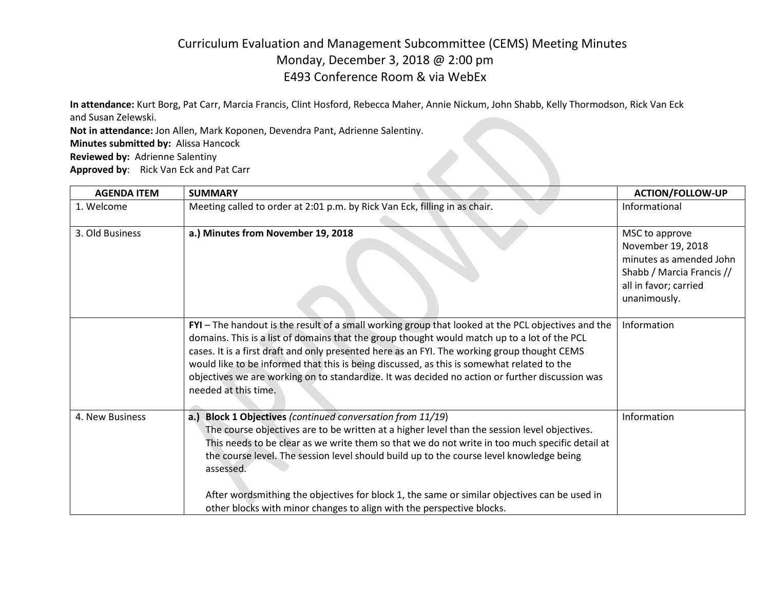## Curriculum Evaluation and Management Subcommittee (CEMS) Meeting Minutes Monday, December 3, 2018 @ 2:00 pm E493 Conference Room & via WebEx

**Contract Contract Contract Contract** 

**In attendance:** Kurt Borg, Pat Carr, Marcia Francis, Clint Hosford, Rebecca Maher, Annie Nickum, John Shabb, Kelly Thormodson, Rick Van Eck and Susan Zelewski.

**Not in attendance:** Jon Allen, Mark Koponen, Devendra Pant, Adrienne Salentiny.

**Minutes submitted by:** Alissa Hancock

**Reviewed by:** Adrienne Salentiny

**Approved by**: Rick Van Eck and Pat Carr

| <b>AGENDA ITEM</b> | <b>SUMMARY</b>                                                                                                                                                                                                                                                                                                                                                                                                                                                                                                                                | <b>ACTION/FOLLOW-UP</b>                                                                                                              |
|--------------------|-----------------------------------------------------------------------------------------------------------------------------------------------------------------------------------------------------------------------------------------------------------------------------------------------------------------------------------------------------------------------------------------------------------------------------------------------------------------------------------------------------------------------------------------------|--------------------------------------------------------------------------------------------------------------------------------------|
| 1. Welcome         | Meeting called to order at 2:01 p.m. by Rick Van Eck, filling in as chair.                                                                                                                                                                                                                                                                                                                                                                                                                                                                    | Informational                                                                                                                        |
| 3. Old Business    | a.) Minutes from November 19, 2018                                                                                                                                                                                                                                                                                                                                                                                                                                                                                                            | MSC to approve<br>November 19, 2018<br>minutes as amended John<br>Shabb / Marcia Francis //<br>all in favor; carried<br>unanimously. |
|                    | FYI - The handout is the result of a small working group that looked at the PCL objectives and the<br>domains. This is a list of domains that the group thought would match up to a lot of the PCL<br>cases. It is a first draft and only presented here as an FYI. The working group thought CEMS<br>would like to be informed that this is being discussed, as this is somewhat related to the<br>objectives we are working on to standardize. It was decided no action or further discussion was<br>needed at this time.                   | Information                                                                                                                          |
| 4. New Business    | a.) Block 1 Objectives (continued conversation from 11/19)<br>The course objectives are to be written at a higher level than the session level objectives.<br>This needs to be clear as we write them so that we do not write in too much specific detail at<br>the course level. The session level should build up to the course level knowledge being<br>assessed.<br>After wordsmithing the objectives for block 1, the same or similar objectives can be used in<br>other blocks with minor changes to align with the perspective blocks. | Information                                                                                                                          |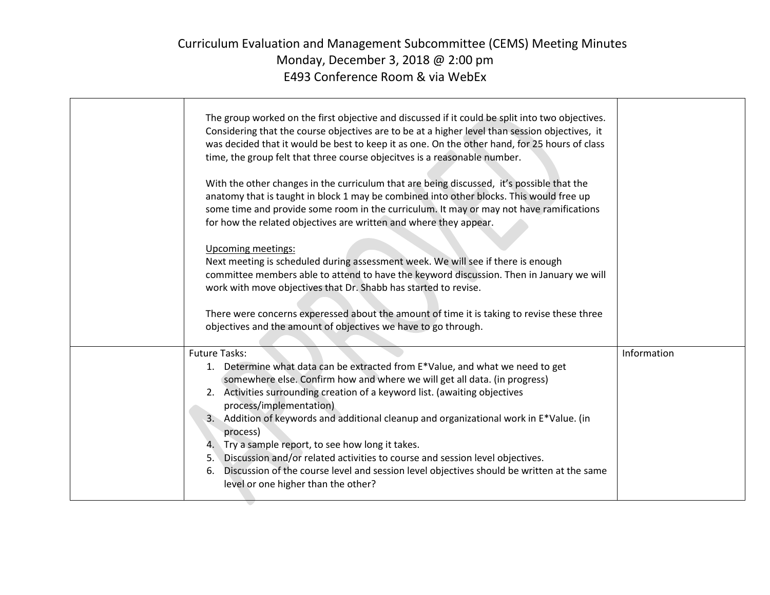## Curriculum Evaluation and Management Subcommittee (CEMS) Meeting Minutes Monday, December 3, 2018 @ 2:00 pm E493 Conference Room & via WebEx

| The group worked on the first objective and discussed if it could be split into two objectives.<br>Considering that the course objectives are to be at a higher level than session objectives, it<br>was decided that it would be best to keep it as one. On the other hand, for 25 hours of class<br>time, the group felt that three course objecitves is a reasonable number.<br>With the other changes in the curriculum that are being discussed, it's possible that the<br>anatomy that is taught in block 1 may be combined into other blocks. This would free up<br>some time and provide some room in the curriculum. It may or may not have ramifications<br>for how the related objectives are written and where they appear.<br>Upcoming meetings:<br>Next meeting is scheduled during assessment week. We will see if there is enough<br>committee members able to attend to have the keyword discussion. Then in January we will<br>work with move objectives that Dr. Shabb has started to revise.<br>There were concerns experessed about the amount of time it is taking to revise these three<br>objectives and the amount of objectives we have to go through. |             |
|----------------------------------------------------------------------------------------------------------------------------------------------------------------------------------------------------------------------------------------------------------------------------------------------------------------------------------------------------------------------------------------------------------------------------------------------------------------------------------------------------------------------------------------------------------------------------------------------------------------------------------------------------------------------------------------------------------------------------------------------------------------------------------------------------------------------------------------------------------------------------------------------------------------------------------------------------------------------------------------------------------------------------------------------------------------------------------------------------------------------------------------------------------------------------------|-------------|
| <b>Future Tasks:</b><br>1. Determine what data can be extracted from E*Value, and what we need to get<br>somewhere else. Confirm how and where we will get all data. (in progress)<br>2. Activities surrounding creation of a keyword list. (awaiting objectives<br>process/implementation)<br>3. Addition of keywords and additional cleanup and organizational work in E*Value. (in<br>process)<br>4. Try a sample report, to see how long it takes.<br>5. Discussion and/or related activities to course and session level objectives.<br>Discussion of the course level and session level objectives should be written at the same<br>6.<br>level or one higher than the other?                                                                                                                                                                                                                                                                                                                                                                                                                                                                                              | Information |